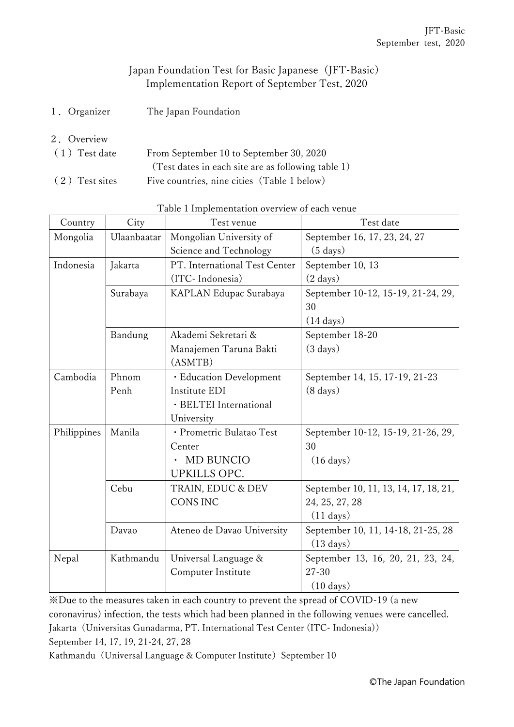## Japan Foundation Test for Basic Japanese (JFT-Basic) Implementation Report of September Test, 2020

- 1.Organizer The Japan Foundation
- 2.Overview

| $(1)$ Test date | From September 10 to September 30, 2020            |  |  |
|-----------------|----------------------------------------------------|--|--|
|                 | (Test dates in each site are as following table 1) |  |  |
| (2) Test sites  | Five countries, nine cities (Table 1 below)        |  |  |

| Country     | City        | Test venue                    | Test date                             |  |
|-------------|-------------|-------------------------------|---------------------------------------|--|
| Mongolia    | Ulaanbaatar | Mongolian University of       | September 16, 17, 23, 24, 27          |  |
|             |             | Science and Technology        | $(5 \text{ days})$                    |  |
| Indonesia   | Jakarta     | PT. International Test Center | September 10, 13                      |  |
|             |             | (ITC-Indonesia)               | $(2 \text{ days})$                    |  |
|             | Surabaya    | KAPLAN Edupac Surabaya        | September 10-12, 15-19, 21-24, 29,    |  |
|             |             |                               | 30                                    |  |
|             |             |                               | $(14 \text{ days})$                   |  |
|             | Bandung     | Akademi Sekretari &           | September 18-20                       |  |
|             |             | Manajemen Taruna Bakti        | $(3 \text{ days})$                    |  |
|             |             | (ASMTB)                       |                                       |  |
| Cambodia    | Phnom       | · Education Development       | September 14, 15, 17-19, 21-23        |  |
|             | Penh        | Institute EDI                 | $(8 \text{ days})$                    |  |
|             |             | · BELTEI International        |                                       |  |
|             |             | University                    |                                       |  |
| Philippines | Manila      | · Prometric Bulatao Test      | September 10-12, 15-19, 21-26, 29,    |  |
|             |             | Center                        | 30                                    |  |
|             |             | <b>MD BUNCIO</b>              | $(16 \text{ days})$                   |  |
|             |             | UPKILLS OPC.                  |                                       |  |
|             | Cebu        | TRAIN, EDUC & DEV             | September 10, 11, 13, 14, 17, 18, 21, |  |
|             |             | <b>CONS INC</b>               | 24, 25, 27, 28                        |  |
|             |             |                               | $(11 \text{ days})$                   |  |
|             | Davao       | Ateneo de Davao University    | September 10, 11, 14-18, 21-25, 28    |  |
|             |             |                               | $(13 \text{ days})$                   |  |
| Nepal       | Kathmandu   | Universal Language &          | September 13, 16, 20, 21, 23, 24,     |  |
|             |             | Computer Institute            | $27 - 30$                             |  |
|             |             |                               | $(10 \text{ days})$                   |  |

Table 1 Implementation overview of each venue

※Due to the measures taken in each country to prevent the spread of COVID-19 (a new coronavirus) infection, the tests which had been planned in the following venues were cancelled. Jakarta (Universitas Gunadarma, PT. International Test Center (ITC- Indonesia)) September 14, 17, 19, 21-24, 27, 28

Kathmandu (Universal Language & Computer Institute) September 10